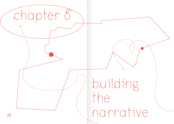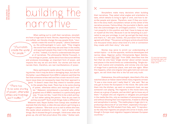## building the narrative

When setting out to craft their narratives, storytellers have a huge task at hand. Stories, depending on how they are crafted, can literally change the way people think. "Jour-

## "Journalists create the world for people."

nalists create the world for people," Jelena Dzekseneva, the anthropologist in Lyon, said. "They imagine the world from what they see and hear in the media, and approach people they meet in the streets based on this." Indeed, it is hard to underestimate the power of narratives. The philosopher Michel Foucault, in his writings on power, spoke about how discourse defines and produces knowledge, an important form of power, and impacts the way we act and think. Our stories and how we narrate them, therefore, are real manifestations of power.

Many participants spoke about the process of craft-

ing stories: how it may be done in damaging ways, but also for the better. Laure Makarem from ARM in Lebanon said that the fact that someone writes well and has a track record of cover-"There has to be some sharing of power, otherwise ethics and trainings don't matter."

68 69 grows up, she will feel proud about this video." Sukkar said. ing an issue does not necessarily mean that their approach is good: "It doesn't mean that they intend to transfer power to the people they meet. There has to be some sharing of power, otherwise ethics and trainings don't matter." Makarem remembered a journalist who photographed one of ARM's members in a particularly good way. "It was not like, 'I want this to be a dark portrayal' but rather asking the person: 'How do you want to portray yourself?' Such small things make a difference," Makarem said. Rayan Sukkar from Campji also recalled an example that she liked, a video she saw about a girl living as a refugee in Lebanon. "She took us on a visit to where she lives. She spoke about problems in her life – lack of water, other things. But it showed the girl's strength. I think even when she

Storytellers make many decisions when building their narratives. They select what angles and orientation to take, which details to bring to light or omit, and how to describe people and places. Therefore, even if they are invisible in the story itself, storytellers remain at the center of the narrative process. Fatima Alhaji, the journalist in Berlin, said that she acknowledges her privileged position. "I know that I am powerful in this position and that I have to keep an eye on myself all the time. Because it can be tempting as a journalist to use your privilege, to just 'go and get the best story and that's it,'" she said. Sukkar, the journalist from Campji, agreed with Alhaji: "The person writing an article should think one thousand times about what kind of a link or connection they create with their story," she said.

Stories may serve to enrich our understanding of certain topics – or do the opposite, reinforce stereotypes and narrow ideas. Nigerian author Chimamanda Ngozi Adichie, in a widely viewed  $\underline{\text{IED Talk}}^{10}$  from 2009, describes how the fact that we only have 'single stories' about certain issues and places in the world limits our understanding. 'Single stories' lack nuance and complexity, and convey only one type of image from a particular place, over and over again. When this happens, when one singular story gets told over and over again, we will think that this is the full and only truth.

Dzekseneva, the anthropologist, described a film she watched about an Italian island where many migrants arrived: "It was a nice movie and I really liked it," she said. "But we only got to know the Europeans in the movie. We came with them into the kitchen, we went on someone's boat, we saw someone's son playing. The migrants in the movie were only shown as a group of people, and we didn't get to know any of them." If people who are migrants or refugees are portrayed in the media like this, only as members of anonymous groups and without showing their own trajectories, it leads to othering and xenophobia in society. "The media plays a huge role in reproducing a discourse of 'us' and 'them', especially in Europe," Simone Spera, the PhD student from Italy, said. "It reproduces the idea that migrants are people who arrive in boats, even though in Europe most migration happens between European countries."

10 | www.ted.com/talks/ chimamanda\_ngozi\_adichie\_the\_danger\_of\_a\_ single\_story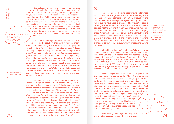have more stories Nudrat Kamal, a writer and lecturer of comparative literature in Karachi, Pakistan, spoke in a podcast episode<sup>11</sup> about the need to dismantle the hegemony of 'single stories.' "If you have more stories it becomes like a kaleidoscope. Instead of one view it's like many, many images and stories, and all of them are in conversation with one another, perhaps contradicting and complicating one another." In every way, Kamal said, this is a question of power: "If we want to, like I want to, make the world more equitable in power, we need more stories. We need less stories from people who are already in power and more stories from people who are different and don't necessarily have that global power."

> All of this is contingent on how storytellers narrate stories. It is the result of choices that may be unconscious, but can be brought to attention with self-inquiry and reflection. Doha Adi from Sawa for Development and Aid said that they changed the way they tell stories through experience: "Organisations like us, which started as grassroots organisations, learned about ethical standards along the way. We used to share posts on social media with children crying and people receiving aid. But people told us, 'I don't want to be portrayed like that, I was going through a bad phase and that is not who I am.'" Now, Sawa for Development and Aid has another way of working. "We have created standards and now keep them in check. At first, we drew bullet points and then kept developing them. This document is now fifteen pages long," Adi said.

11 | www.soundcloud. com/user-968223567/ unlocked-bonus-episode-49

"If you

it becomes like a kaleidoscope.»

> Representations in the media have real implications. Several participants described how negative images of migrants and refugees "create a world," like Dzekseneva said, that reflects such negativity. Adi mentioned the media's focus on portraying families in camps. "There are a lot of refugees who don't live in camps, who are students and employees. We rely on them for the human resources for agriculture and industries for our basic needs." When journalists fail to capture that, "refugees feel useless and lose their self esteem," Adi said. "If you are constantly told that you are worthless, you will be convinced of that." Samih Mahmoud from Campji said that the mainstream media continues to show refugees in Lebanon in bad light: "When a Syrian person for example does something wrong, they broadcast their nationality. Even

This – details and cliché descriptions, references to nationality, race or gender – is how narratives play a role in shaping our understanding of migration. Throughout the last few years of reporting on refugees and migration, many major outlets have used expressions like 'waves' or people 'flowing' across borders: words fit to describe natural emergencies, not the movement of human beings. David Cameron, the former prime minister of the U.K., was quoted<sup>12</sup> saying that a "swarm of people" was coming to the island. Even the BBC, the British public service broadcaster, spoke13 of people who are migrants as a 'flood' and 'stream' in their reporting (and illustrated the same article with a photograph where migrants are portrayed in a group, without introducing anyone by name).

12 | www.theguardian. com/uk-news/2015/ iul/30/david-cameron-migrant-swarm-language-condemned

13 | www.bbc.com/ news/world-europe-33204681

Adi said that her NGO thinks carefully about what words to use in their documentation and communication. "We don't use the word 'beneficiary' for instance, we say 'community member' or 'participant,'" she said. Once, Sawa for Development and Aid did a video about the community kitchen they put up each Ramadan. "But the subtitles said, 'we are feeding 10,000 people.' That was wrong, we don't use that language. We are not feeding people, as if they are passive recipients of aid," Adi said.

Sukkar, the journalist from Campji, also spoke about the importance of choosing words. "After I travelled abroad and saw perspective there, I realised that giving importance to the veil, for instance, can lead to islamophobia." For her, describing someone as veiled in a story had never had particular meaning – it was just a description like any other. "But if we want a common message, one that does not evoke hatred or generate stereotypes, we should think about words like these," she said. For Adi, again, a seemingly insignificant choice between 'war' and 'crisis' has real consequences. "Many journalists say 'the Syrian crisis' even though it is a war. This lessens what people go through. If we use the word 'war' we remember that these people are not safe in their country," she said. "It is really beautiful to sit in front of someone who tells you all about their life.»

 $70$  if it has nothing to do with the person being Syrian." The and simple measures can contribute to shifting per-  $74$ When writing about migration, very small and simple measures can contribute to shifting per-